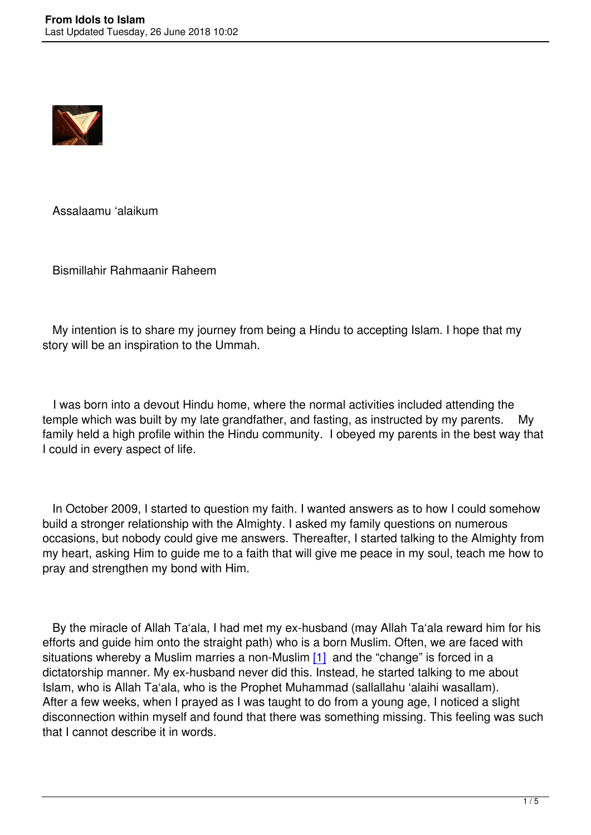

Assalaamu 'alaikum

Bismillahir Rahmaanir Raheem

 My intention is to share my journey from being a Hindu to accepting Islam. I hope that my story will be an inspiration to the Ummah.

 I was born into a devout Hindu home, where the normal activities included attending the temple which was built by my late grandfather, and fasting, as instructed by my parents. My family held a high profile within the Hindu community. I obeyed my parents in the best way that I could in every aspect of life.

 In October 2009, I started to question my faith. I wanted answers as to how I could somehow build a stronger relationship with the Almighty. I asked my family questions on numerous occasions, but nobody could give me answers. Thereafter, I started talking to the Almighty from my heart, asking Him to guide me to a faith that will give me peace in my soul, teach me how to pray and strengthen my bond with Him.

 By the miracle of Allah Ta'ala, I had met my ex-husband (may Allah Ta'ala reward him for his efforts and guide him onto the straight path) who is a born Muslim. Often, we are faced with situations whereby a Muslim marries a non-Muslim  $[1]$  and the "change" is forced in a dictatorship manner. My ex-husband never did this. Instead, he started talking to me about Islam, who is Allah Ta'ala, who is the Prophet Muhammad (sallallahu 'alaihi wasallam). After a few weeks, when I prayed as I was taught t[o do](file://ebrahim/Users/Public/Publications/Uswatul%20Muslimah/Website/Modern%20to%20Modest/Ml.%20Ilyaas/From%20Idols%20to%20Islam.docx#_ftn1) from a young age, I noticed a slight disconnection within myself and found that there was something missing. This feeling was such that I cannot describe it in words.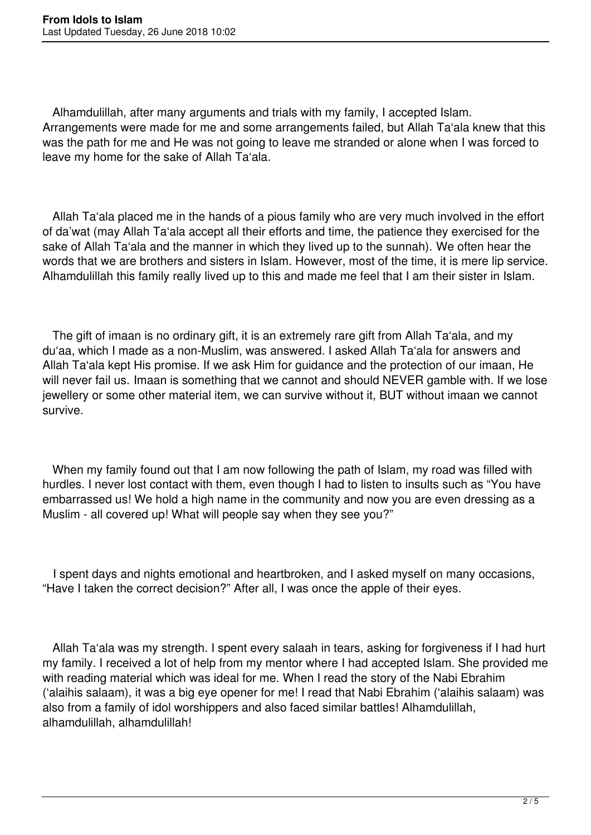Alhamdulillah, after many arguments and trials with my family, I accepted Islam. Arrangements were made for me and some arrangements failed, but Allah Ta'ala knew that this was the path for me and He was not going to leave me stranded or alone when I was forced to leave my home for the sake of Allah Ta'ala.

 Allah Ta'ala placed me in the hands of a pious family who are very much involved in the effort of da'wat (may Allah Ta'ala accept all their efforts and time, the patience they exercised for the sake of Allah Ta'ala and the manner in which they lived up to the sunnah). We often hear the words that we are brothers and sisters in Islam. However, most of the time, it is mere lip service. Alhamdulillah this family really lived up to this and made me feel that I am their sister in Islam.

 The gift of imaan is no ordinary gift, it is an extremely rare gift from Allah Ta'ala, and my du'aa, which I made as a non-Muslim, was answered. I asked Allah Ta'ala for answers and Allah Ta'ala kept His promise. If we ask Him for guidance and the protection of our imaan, He will never fail us. Imaan is something that we cannot and should NEVER gamble with. If we lose jewellery or some other material item, we can survive without it, BUT without imaan we cannot survive.

When my family found out that I am now following the path of Islam, my road was filled with hurdles. I never lost contact with them, even though I had to listen to insults such as "You have embarrassed us! We hold a high name in the community and now you are even dressing as a Muslim - all covered up! What will people say when they see you?"

 I spent days and nights emotional and heartbroken, and I asked myself on many occasions, "Have I taken the correct decision?" After all, I was once the apple of their eyes.

 Allah Ta'ala was my strength. I spent every salaah in tears, asking for forgiveness if I had hurt my family. I received a lot of help from my mentor where I had accepted Islam. She provided me with reading material which was ideal for me. When I read the story of the Nabi Ebrahim ('alaihis salaam), it was a big eye opener for me! I read that Nabi Ebrahim ('alaihis salaam) was also from a family of idol worshippers and also faced similar battles! Alhamdulillah, alhamdulillah, alhamdulillah!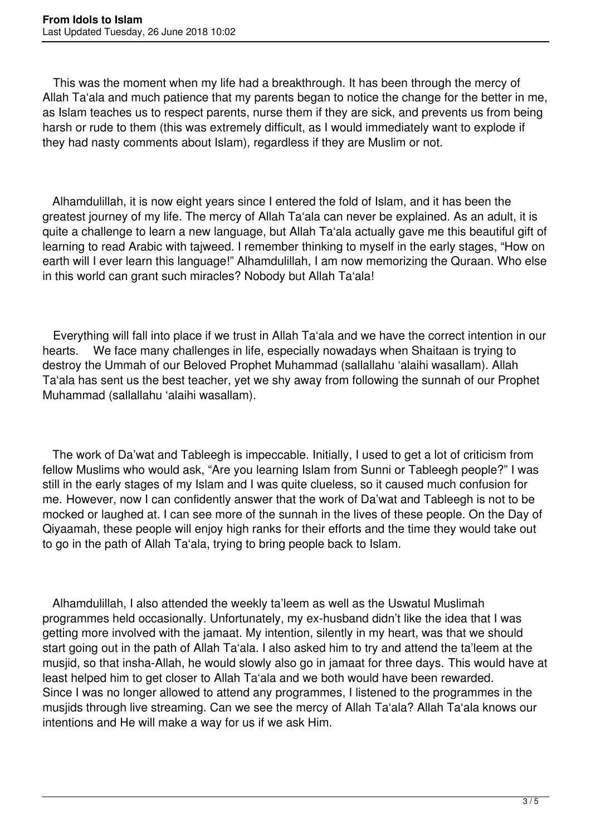This was the moment when my life had a breakthrough. It has been through the mercy of Allah Ta'ala and much patience that my parents began to notice the change for the better in me, as Islam teaches us to respect parents, nurse them if they are sick, and prevents us from being harsh or rude to them (this was extremely difficult, as I would immediately want to explode if they had nasty comments about Islam), regardless if they are Muslim or not.

 Alhamdulillah, it is now eight years since I entered the fold of Islam, and it has been the greatest journey of my life. The mercy of Allah Ta'ala can never be explained. As an adult, it is quite a challenge to learn a new language, but Allah Ta'ala actually gave me this beautiful gift of learning to read Arabic with tajweed. I remember thinking to myself in the early stages, "How on earth will I ever learn this language!" Alhamdulillah, I am now memorizing the Quraan. Who else in this world can grant such miracles? Nobody but Allah Ta'ala!

 Everything will fall into place if we trust in Allah Ta'ala and we have the correct intention in our hearts. We face many challenges in life, especially nowadays when Shaitaan is trying to destroy the Ummah of our Beloved Prophet Muhammad (sallallahu 'alaihi wasallam). Allah Ta'ala has sent us the best teacher, yet we shy away from following the sunnah of our Prophet Muhammad (sallallahu 'alaihi wasallam).

 The work of Da'wat and Tableegh is impeccable. Initially, I used to get a lot of criticism from fellow Muslims who would ask, "Are you learning Islam from Sunni or Tableegh people?" I was still in the early stages of my Islam and I was quite clueless, so it caused much confusion for me. However, now I can confidently answer that the work of Da'wat and Tableegh is not to be mocked or laughed at. I can see more of the sunnah in the lives of these people. On the Day of Qiyaamah, these people will enjoy high ranks for their efforts and the time they would take out to go in the path of Allah Ta'ala, trying to bring people back to Islam.

 Alhamdulillah, I also attended the weekly ta'leem as well as the Uswatul Muslimah programmes held occasionally. Unfortunately, my ex-husband didn't like the idea that I was getting more involved with the jamaat. My intention, silently in my heart, was that we should start going out in the path of Allah Ta'ala. I also asked him to try and attend the ta'leem at the musjid, so that insha-Allah, he would slowly also go in jamaat for three days. This would have at least helped him to get closer to Allah Ta'ala and we both would have been rewarded. Since I was no longer allowed to attend any programmes, I listened to the programmes in the musjids through live streaming. Can we see the mercy of Allah Ta'ala? Allah Ta'ala knows our intentions and He will make a way for us if we ask Him.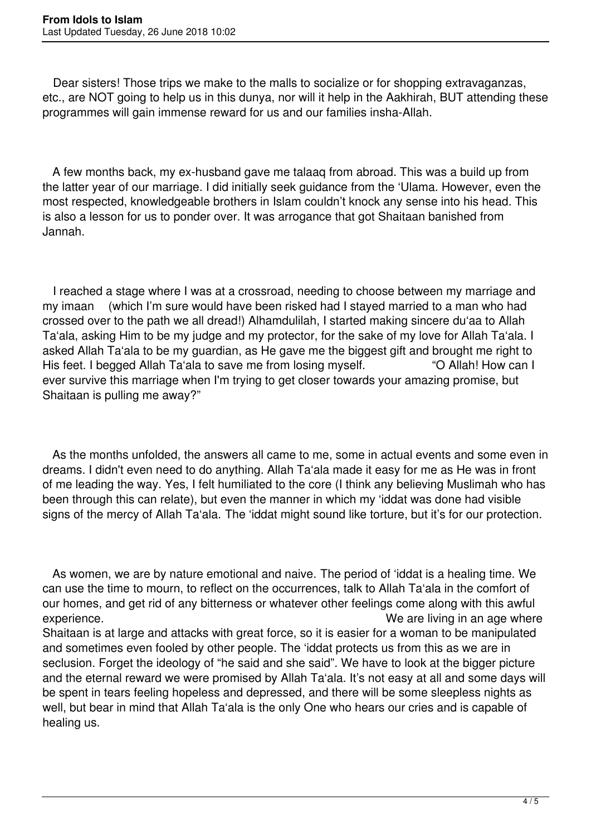Dear sisters! Those trips we make to the malls to socialize or for shopping extravaganzas, etc., are NOT going to help us in this dunya, nor will it help in the Aakhirah, BUT attending these programmes will gain immense reward for us and our families insha-Allah.

 A few months back, my ex-husband gave me talaaq from abroad. This was a build up from the latter year of our marriage. I did initially seek guidance from the 'Ulama. However, even the most respected, knowledgeable brothers in Islam couldn't knock any sense into his head. This is also a lesson for us to ponder over. It was arrogance that got Shaitaan banished from Jannah.

 I reached a stage where I was at a crossroad, needing to choose between my marriage and my imaan (which I'm sure would have been risked had I stayed married to a man who had crossed over to the path we all dread!) Alhamdulilah, I started making sincere du'aa to Allah Ta'ala, asking Him to be my judge and my protector, for the sake of my love for Allah Ta'ala. I asked Allah Ta'ala to be my guardian, as He gave me the biggest gift and brought me right to His feet. I begged Allah Ta'ala to save me from losing myself. "O Allah! How can I ever survive this marriage when I'm trying to get closer towards your amazing promise, but Shaitaan is pulling me away?"

 As the months unfolded, the answers all came to me, some in actual events and some even in dreams. I didn't even need to do anything. Allah Ta'ala made it easy for me as He was in front of me leading the way. Yes, I felt humiliated to the core (I think any believing Muslimah who has been through this can relate), but even the manner in which my 'iddat was done had visible signs of the mercy of Allah Ta'ala. The 'iddat might sound like torture, but it's for our protection.

 As women, we are by nature emotional and naive. The period of 'iddat is a healing time. We can use the time to mourn, to reflect on the occurrences, talk to Allah Ta'ala in the comfort of our homes, and get rid of any bitterness or whatever other feelings come along with this awful experience. We are living in an age where Shaitaan is at large and attacks with great force, so it is easier for a woman to be manipulated and sometimes even fooled by other people. The 'iddat protects us from this as we are in seclusion. Forget the ideology of "he said and she said". We have to look at the bigger picture and the eternal reward we were promised by Allah Ta'ala. It's not easy at all and some days will be spent in tears feeling hopeless and depressed, and there will be some sleepless nights as well, but bear in mind that Allah Ta'ala is the only One who hears our cries and is capable of healing us.